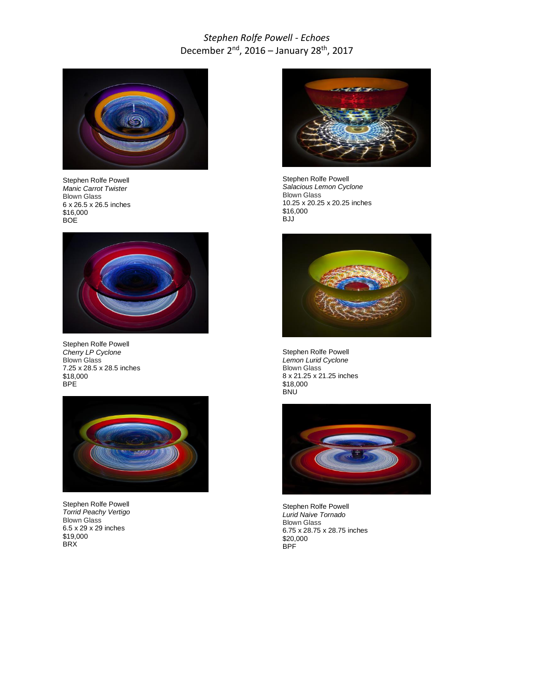## *Stephen Rolfe Powell - Echoes* December 2nd, 2016 – January 28th, 2017



Stephen Rolfe Powell *Manic Carrot Twister* Blown Glass 6 x 26.5 x 26.5 inches \$16,000 BOE



Stephen Rolfe Powell *Cherry LP Cyclone* Blown Glass 7.25 x 28.5 x 28.5 inches \$18,000 BPE



Stephen Rolfe Powell *Torrid Peachy Vertigo* Blown Glass 6.5 x 29 x 29 inches \$19,000 BRX



Stephen Rolfe Powell *Salacious Lemon Cyclone* Blown Glass 10.25 x 20.25 x 20.25 inches \$16,000 BJJ



Stephen Rolfe Powell *Lemon Lurid Cyclone* Blown Glass 8 x 21.25 x 21.25 inches \$18,000 BNU



Stephen Rolfe Powell *Lurid Naive Tornado* Blown Glass 6.75 x 28.75 x 28.75 inches \$20,000 BPF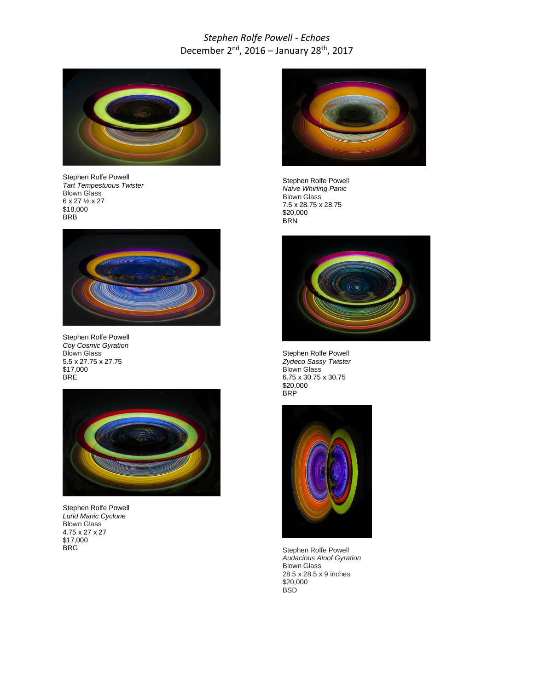## *Stephen Rolfe Powell - Echoes* December 2nd, 2016 – January 28th, 2017



Stephen Rolfe Powell *Tart Tempestuous Twister* Blown Glass 6 x 27 ½ x 27 \$18,000 **BRB** 



Stephen Rolfe Powell *Coy Cosmic Gyration* Blown Glass 5.5 x 27.75 x 27.75 \$17,000 BRE



Stephen Rolfe Powell *Lurid Manic Cyclone* Blown Glass 4.75 x 27 x 27 \$17,000 BRG



Stephen Rolfe Powell *Naive Whirling Panic* Blown Glass 7.5 x 28.75 x 28.75 \$20,000 BRN



Stephen Rolfe Powell *Zydeco Sassy Twister* Blown Glass 6.75 x 30.75 x 30.75 \$20,000 **BRP** 



Stephen Rolfe Powell *Audacious Aloof Gyration* Blown Glass 28.5 x 28.5 x 9 inches \$20,000 **BSD**